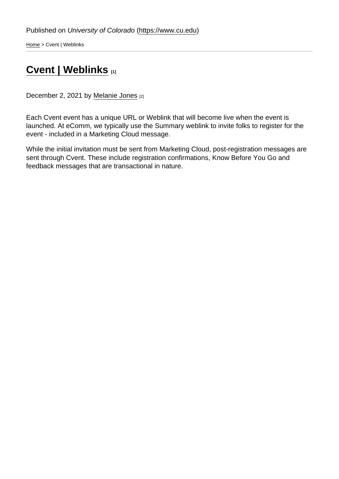[Home](https://www.cu.edu/) > Cvent | Weblinks

## [Cvent | Weblinks](https://www.cu.edu/blog/ecomm-wiki/cvent-weblinks) [1]

December 2, 2021 by [Melanie Jones](https://www.cu.edu/blog/ecomm-wiki/author/39) [2]

Each Cvent event has a unique URL or Weblink that will become live when the event is launched. At eComm, we typically use the Summary weblink to invite folks to register for the event - included in a Marketing Cloud message.

While the initial invitation must be sent from Marketing Cloud, post-registration messages are sent through Cvent. These include registration confirmations, Know Before You Go and feedback messages that are transactional in nature.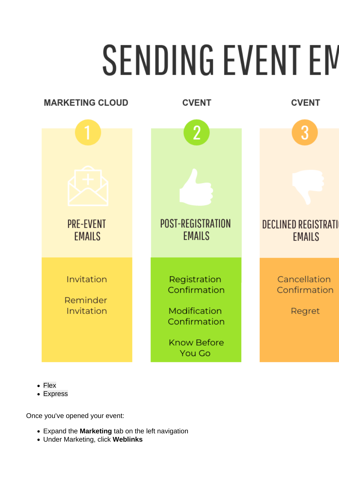- Flex
- [Express](#page-2-0)

Once you've opened your event:

- Expand the Marketing tab on the left navigation
- Under Marketing, click Weblinks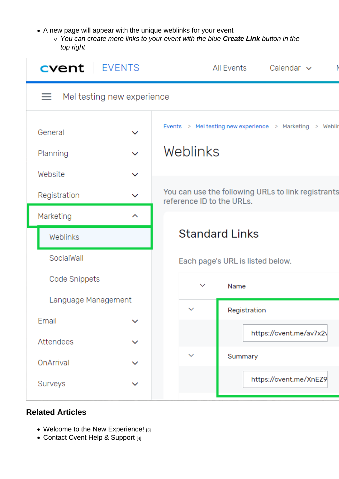- <span id="page-2-0"></span>A new page will appear with the unique weblinks for your event
	- You can create more links to your event with the blue Create Link button in the top right

Related Articles

- [Welcome to the New Experience!](https://www.cu.edu/blog/ecomm-wiki/cvent-welcome-new-user-experience) [3]
- [Contact Cvent Help & Support](https://www.cu.edu/blog/ecomm-wiki/cvent-support-and-resources) [4]